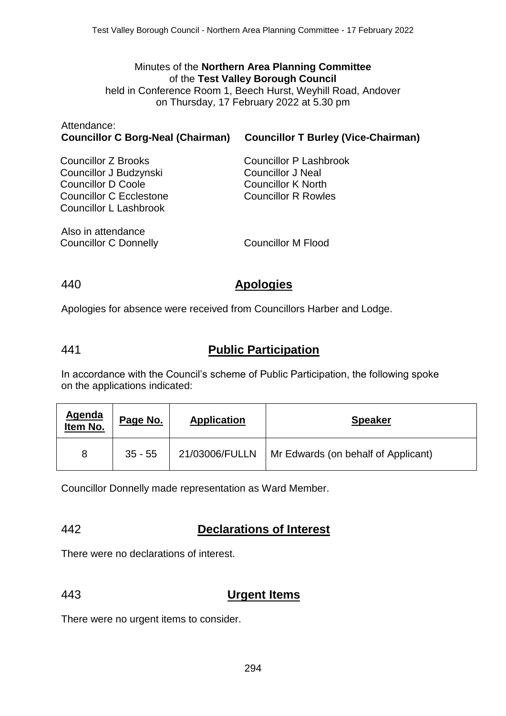## Minutes of the **Northern Area Planning Committee** of the **Test Valley Borough Council**

held in Conference Room 1, Beech Hurst, Weyhill Road, Andover on Thursday, 17 February 2022 at 5.30 pm

| Allendance.<br><b>Councillor C Borg-Neal (Chairman)</b>                                                                         | <b>Councillor T Burley (Vice-Chairman)</b>                                                                    |
|---------------------------------------------------------------------------------------------------------------------------------|---------------------------------------------------------------------------------------------------------------|
| Councillor Z Brooks<br>Councillor J Budzynski<br><b>Councillor D Coole</b><br>Councillor C Ecclestone<br>Councillor L Lashbrook | Councillor P Lashbrook<br><b>Councillor J Neal</b><br><b>Councillor K North</b><br><b>Councillor R Rowles</b> |
| Also in attendance<br>Councillor C Donnelly                                                                                     | <b>Councillor M Flood</b>                                                                                     |

Attendance:

### 440 **Apologies**

Apologies for absence were received from Councillors Harber and Lodge.

## 441 **Public Participation**

In accordance with the Council's scheme of Public Participation, the following spoke on the applications indicated:

| Agenda<br>Item No. | Page No.  | <b>Application</b> | <b>Speaker</b>                      |
|--------------------|-----------|--------------------|-------------------------------------|
| 8                  | $35 - 55$ | 21/03006/FULLN     | Mr Edwards (on behalf of Applicant) |

Councillor Donnelly made representation as Ward Member.

## 442 **Declarations of Interest**

There were no declarations of interest.

# 443 **Urgent Items**

There were no urgent items to consider.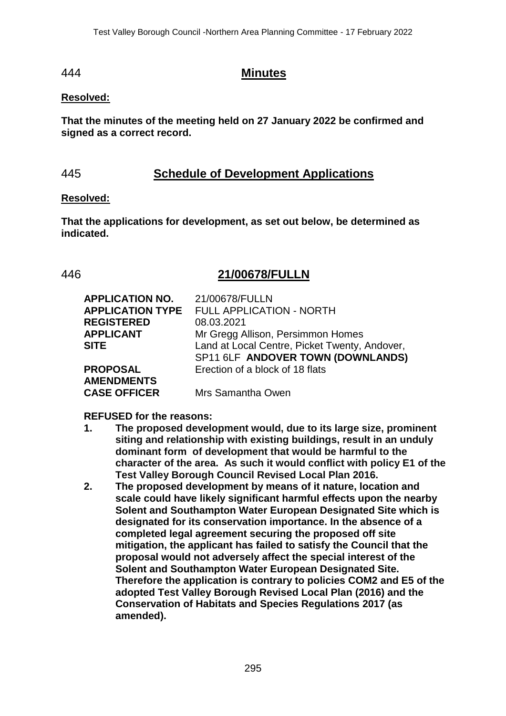### 444 **Minutes**

#### **Resolved:**

**That the minutes of the meeting held on 27 January 2022 be confirmed and signed as a correct record.**

## 445 **Schedule of Development Applications**

#### **Resolved:**

**That the applications for development, as set out below, be determined as indicated.**

### 446 **21/00678/FULLN**

| <b>APPLICATION NO.</b>  | 21/00678/FULLN                                |
|-------------------------|-----------------------------------------------|
| <b>APPLICATION TYPE</b> | <b>FULL APPLICATION - NORTH</b>               |
| <b>REGISTERED</b>       | 08.03.2021                                    |
| <b>APPLICANT</b>        | Mr Gregg Allison, Persimmon Homes             |
| <b>SITE</b>             | Land at Local Centre, Picket Twenty, Andover, |
|                         | SP11 6LF ANDOVER TOWN (DOWNLANDS)             |
| <b>PROPOSAL</b>         | Erection of a block of 18 flats               |
| <b>AMENDMENTS</b>       |                                               |
| <b>CASE OFFICER</b>     | Mrs Samantha Owen                             |
|                         |                                               |

#### **REFUSED for the reasons:**

- **1. The proposed development would, due to its large size, prominent siting and relationship with existing buildings, result in an unduly dominant form of development that would be harmful to the character of the area. As such it would conflict with policy E1 of the Test Valley Borough Council Revised Local Plan 2016.**
- **2. The proposed development by means of it nature, location and scale could have likely significant harmful effects upon the nearby Solent and Southampton Water European Designated Site which is designated for its conservation importance. In the absence of a completed legal agreement securing the proposed off site mitigation, the applicant has failed to satisfy the Council that the proposal would not adversely affect the special interest of the Solent and Southampton Water European Designated Site. Therefore the application is contrary to policies COM2 and E5 of the adopted Test Valley Borough Revised Local Plan (2016) and the Conservation of Habitats and Species Regulations 2017 (as amended).**